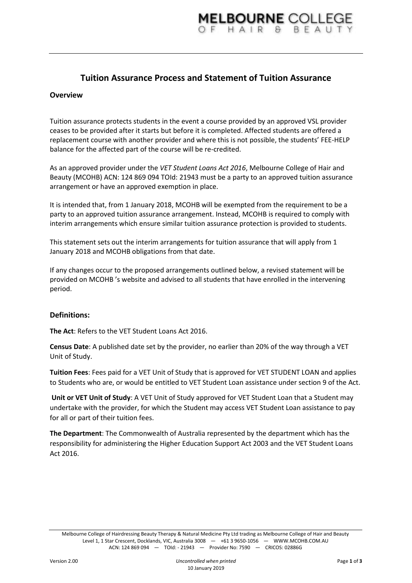# **Tuition Assurance Process and Statement of Tuition Assurance**

### **Overview**

Tuition assurance protects students in the event a course provided by an approved VSL provider ceases to be provided after it starts but before it is completed. Affected students are offered a replacement course with another provider and where this is not possible, the students' FEE-HELP balance for the affected part of the course will be re-credited.

As an approved provider under the *VET Student Loans Act 2016*, Melbourne College of Hair and Beauty (MCOHB) ACN: 124 869 094 TOId: 21943 must be a party to an approved tuition assurance arrangement or have an approved exemption in place.

It is intended that, from 1 January 2018, MCOHB will be exempted from the requirement to be a party to an approved tuition assurance arrangement. Instead, MCOHB is required to comply with interim arrangements which ensure similar tuition assurance protection is provided to students.

This statement sets out the interim arrangements for tuition assurance that will apply from 1 January 2018 and MCOHB obligations from that date.

If any changes occur to the proposed arrangements outlined below, a revised statement will be provided on MCOHB 's website and advised to all students that have enrolled in the intervening period.

#### **Definitions:**

**The Act**: Refers to the VET Student Loans Act 2016.

**Census Date**: A published date set by the provider, no earlier than 20% of the way through a VET Unit of Study.

**Tuition Fees**: Fees paid for a VET Unit of Study that is approved for VET STUDENT LOAN and applies to Students who are, or would be entitled to VET Student Loan assistance under section 9 of the Act.

**Unit or VET Unit of Study**: A VET Unit of Study approved for VET Student Loan that a Student may undertake with the provider, for which the Student may access VET Student Loan assistance to pay for all or part of their tuition fees.

**The Department**: The Commonwealth of Australia represented by the department which has the responsibility for administering the Higher Education Support Act 2003 and the VET Student Loans Act 2016.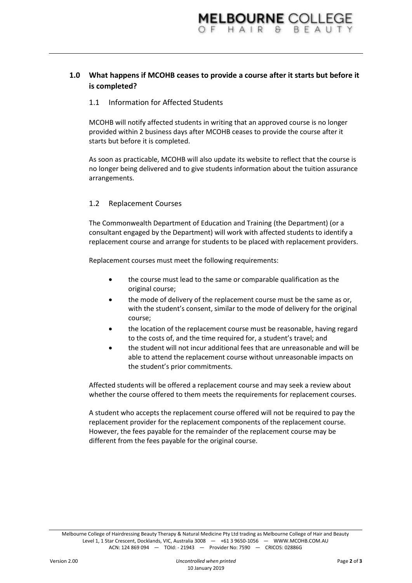## **1.0 What happens if MCOHB ceases to provide a course after it starts but before it is completed?**

### 1.1 Information for Affected Students

MCOHB will notify affected students in writing that an approved course is no longer provided within 2 business days after MCOHB ceases to provide the course after it starts but before it is completed.

As soon as practicable, MCOHB will also update its website to reflect that the course is no longer being delivered and to give students information about the tuition assurance arrangements.

### 1.2 Replacement Courses

The Commonwealth Department of Education and Training (the Department) (or a consultant engaged by the Department) will work with affected students to identify a replacement course and arrange for students to be placed with replacement providers.

Replacement courses must meet the following requirements:

- the course must lead to the same or comparable qualification as the original course;
- the mode of delivery of the replacement course must be the same as or, with the student's consent, similar to the mode of delivery for the original course;
- the location of the replacement course must be reasonable, having regard to the costs of, and the time required for, a student's travel; and
- the student will not incur additional fees that are unreasonable and will be able to attend the replacement course without unreasonable impacts on the student's prior commitments.

Affected students will be offered a replacement course and may seek a review about whether the course offered to them meets the requirements for replacement courses.

A student who accepts the replacement course offered will not be required to pay the replacement provider for the replacement components of the replacement course. However, the fees payable for the remainder of the replacement course may be different from the fees payable for the original course.